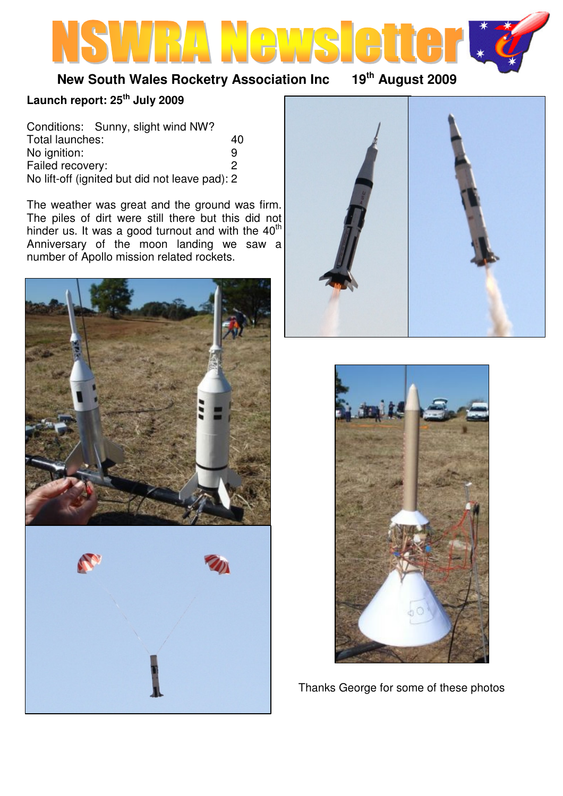# **New South Wales Rocketry Association Inc 19th August 2009**

## **Launch report: 25th July 2009**

|                  | Conditions: Sunny, slight wind NW?             |    |
|------------------|------------------------------------------------|----|
| Total launches:  |                                                | 40 |
| No ignition:     |                                                | q  |
| Failed recovery: |                                                | 2  |
|                  | No lift-off (ignited but did not leave pad): 2 |    |

The weather was great and the ground was firm. The piles of dirt were still there but this did not hinder us. It was a good turnout and with the  $40<sup>th</sup>$ Anniversary of the moon landing we saw a number of Apollo mission related rockets.







Thanks George for some of these photos